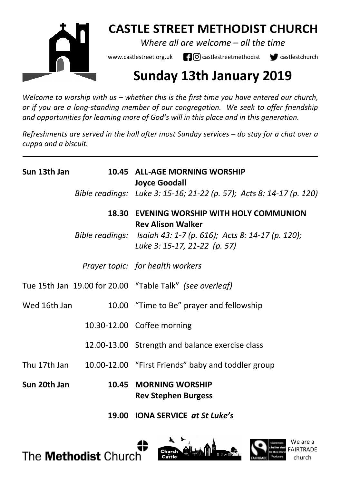

## **CASTLE STREET METHODIST CHURCH**

*Where all are welcome – all the time* 

www.castlestreet.org.uk  $\Box$  O castlestreetmethodist  $\Box$  castlestchurch

# **Sunday 13th January 2019**

*Welcome to worship with us – whether this is the first time you have entered our church, or if you are a long-standing member of our congregation. We seek to offer friendship and opportunities for learning more of God's will in this place and in this generation.* 

*Refreshments are served in the hall after most Sunday services – do stay for a chat over a cuppa and a biscuit.*

| Sun 13th Jan | 10.45 ALL-AGE MORNING WORSHIP<br><b>Joyce Goodall</b><br>Bible readings: Luke 3: 15-16; 21-22 (p. 57); Acts 8: 14-17 (p. 120)                                             |
|--------------|---------------------------------------------------------------------------------------------------------------------------------------------------------------------------|
|              | 18.30 EVENING WORSHIP WITH HOLY COMMUNION<br><b>Rev Alison Walker</b><br>Bible readings: Isaiah 43: 1-7 (p. 616); Acts 8: 14-17 (p. 120);<br>Luke 3: 15-17, 21-22 (p. 57) |
|              | Prayer topic: for health workers                                                                                                                                          |
|              | Tue 15th Jan 19.00 for 20.00 "Table Talk" (see overleaf)                                                                                                                  |
| Wed 16th Jan | 10.00 "Time to Be" prayer and fellowship                                                                                                                                  |
|              | 10.30-12.00 Coffee morning                                                                                                                                                |
|              | 12.00-13.00 Strength and balance exercise class                                                                                                                           |
| Thu 17th Jan | 10.00-12.00 "First Friends" baby and toddler group                                                                                                                        |
| Sun 20th Jan | 10.45 MORNING WORSHIP<br><b>Rev Stephen Burgess</b>                                                                                                                       |
|              |                                                                                                                                                                           |

 **19.00 IONA SERVICE** *at St Luke's*





We are a FAIRTRADE church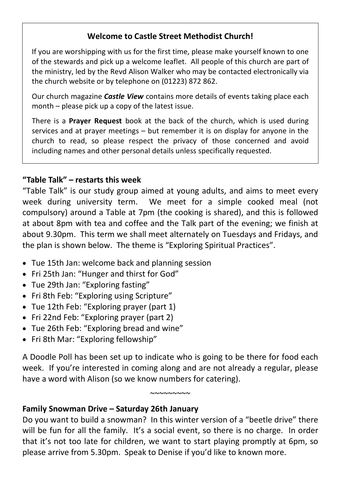## **Welcome to Castle Street Methodist Church!**

If you are worshipping with us for the first time, please make yourself known to one of the stewards and pick up a welcome leaflet. All people of this church are part of the ministry, led by the Revd Alison Walker who may be contacted electronically via the church website or by telephone on (01223) 872 862.

Our church magazine *Castle View* contains more details of events taking place each month – please pick up a copy of the latest issue.

There is a **Prayer Request** book at the back of the church, which is used during services and at prayer meetings – but remember it is on display for anyone in the church to read, so please respect the privacy of those concerned and avoid including names and other personal details unless specifically requested.

#### **"Table Talk" – restarts this week**

"Table Talk" is our study group aimed at young adults, and aims to meet every week during university term. We meet for a simple cooked meal (not compulsory) around a Table at 7pm (the cooking is shared), and this is followed at about 8pm with tea and coffee and the Talk part of the evening; we finish at about 9.30pm. This term we shall meet alternately on Tuesdays and Fridays, and the plan is shown below. The theme is "Exploring Spiritual Practices".

- Tue 15th Jan: welcome back and planning session
- Fri 25th Jan: "Hunger and thirst for God"
- Tue 29th Jan: "Exploring fasting"
- Fri 8th Feb: "Exploring using Scripture"
- Tue 12th Feb: "Exploring prayer (part 1)
- Fri 22nd Feb: "Exploring prayer (part 2)
- Tue 26th Feb: "Exploring bread and wine"
- Fri 8th Mar: "Exploring fellowship"

A Doodle Poll has been set up to indicate who is going to be there for food each week. If you're interested in coming along and are not already a regular, please have a word with Alison (so we know numbers for catering).

 $~\sim$ ~~~~~~~

## **Family Snowman Drive – Saturday 26th January**

Do you want to build a snowman? In this winter version of a "beetle drive" there will be fun for all the family. It's a social event, so there is no charge. In order that it's not too late for children, we want to start playing promptly at 6pm, so please arrive from 5.30pm. Speak to Denise if you'd like to known more.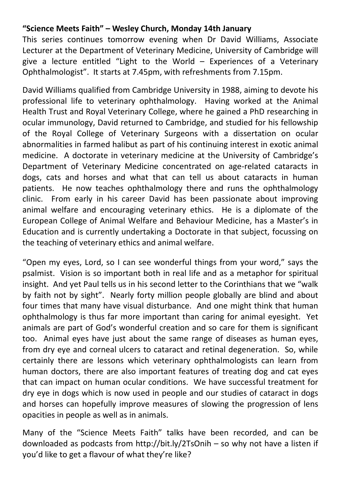## **"Science Meets Faith" – Wesley Church, Monday 14th January**

This series continues tomorrow evening when Dr David Williams, Associate Lecturer at the Department of Veterinary Medicine, University of Cambridge will give a lecture entitled "Light to the World – Experiences of a Veterinary Ophthalmologist". It starts at 7.45pm, with refreshments from 7.15pm.

David Williams qualified from Cambridge University in 1988, aiming to devote his professional life to veterinary ophthalmology. Having worked at the Animal Health Trust and Royal Veterinary College, where he gained a PhD researching in ocular immunology, David returned to Cambridge, and studied for his fellowship of the Royal College of Veterinary Surgeons with a dissertation on ocular abnormalities in farmed halibut as part of his continuing interest in exotic animal medicine. A doctorate in veterinary medicine at the University of Cambridge's Department of Veterinary Medicine concentrated on age-related cataracts in dogs, cats and horses and what that can tell us about cataracts in human patients. He now teaches ophthalmology there and runs the ophthalmology clinic. From early in his career David has been passionate about improving animal welfare and encouraging veterinary ethics. He is a diplomate of the European College of Animal Welfare and Behaviour Medicine, has a Master's in Education and is currently undertaking a Doctorate in that subject, focussing on the teaching of veterinary ethics and animal welfare.

"Open my eyes, Lord, so I can see wonderful things from your word," says the psalmist. Vision is so important both in real life and as a metaphor for spiritual insight. And yet Paul tells us in his second letter to the Corinthians that we "walk by faith not by sight". Nearly forty million people globally are blind and about four times that many have visual disturbance. And one might think that human ophthalmology is thus far more important than caring for animal eyesight. Yet animals are part of God's wonderful creation and so care for them is significant too. Animal eyes have just about the same range of diseases as human eyes, from dry eye and corneal ulcers to cataract and retinal degeneration. So, while certainly there are lessons which veterinary ophthalmologists can learn from human doctors, there are also important features of treating dog and cat eyes that can impact on human ocular conditions. We have successful treatment for dry eye in dogs which is now used in people and our studies of cataract in dogs and horses can hopefully improve measures of slowing the progression of lens opacities in people as well as in animals.

Many of the "Science Meets Faith" talks have been recorded, and can be downloaded as podcasts from http://bit.ly/2TsOnih – so why not have a listen if you'd like to get a flavour of what they're like?